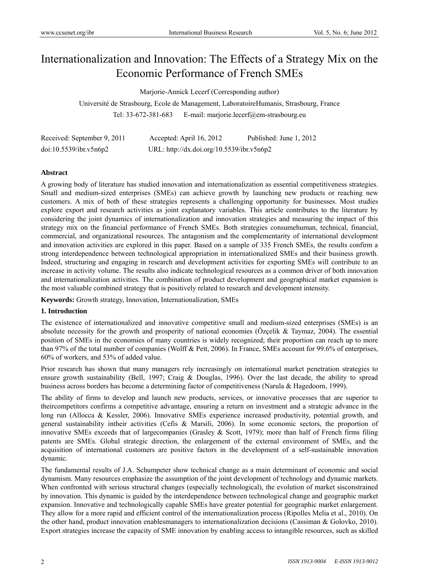# Internationalization and Innovation: The Effects of a Strategy Mix on the Economic Performance of French SMEs

Marjorie-Annick Lecerf (Corresponding author)

Université de Strasbourg, Ecole de Management, LaboratoireHumanis, Strasbourg, France Tel: 33-672-381-683 E-mail: marjorie.lecerf@em-strasbourg.eu

| Received: September 9, 2011 | Accepted: April 16, 2012                  | Published: June 1, 2012 |
|-----------------------------|-------------------------------------------|-------------------------|
| doi:10.5539/ibr.v5n6p2      | URL: http://dx.doi.org/10.5539/ibr.v5n6p2 |                         |

#### **Abstract**

A growing body of literature has studied innovation and internationalization as essential competitiveness strategies. Small and medium-sized enterprises (SMEs) can achieve growth by launching new products or reaching new customers. A mix of both of these strategies represents a challenging opportunity for businesses. Most studies explore export and research activities as joint explanatory variables. This article contributes to the literature by considering the joint dynamics of internationalization and innovation strategies and measuring the impact of this strategy mix on the financial performance of French SMEs. Both strategies consumehuman, technical, financial, commercial, and organizational resources. The antagonism and the complementarity of international development and innovation activities are explored in this paper. Based on a sample of 335 French SMEs, the results confirm a strong interdependence between technological appropriation in internationalized SMEs and their business growth. Indeed, structuring and engaging in research and development activities for exporting SMEs will contribute to an increase in activity volume. The results also indicate technological resources as a common driver of both innovation and internationalization activities. The combination of product development and geographical market expansion is the most valuable combined strategy that is positively related to research and development intensity.

**Keywords:** Growth strategy, Innovation, Internationalization, SMEs

#### **1. Introduction**

The existence of internationalized and innovative competitive small and medium-sized enterprises (SMEs) is an absolute necessity for the growth and prosperity of national economies (Özçelik & Taymaz, 2004). The essential position of SMEs in the economies of many countries is widely recognized; their proportion can reach up to more than 97% of the total number of companies (Wolff & Pett, 2006). In France, SMEs account for 99.6% of enterprises, 60% of workers, and 53% of added value.

Prior research has shown that many managers rely increasingly on international market penetration strategies to ensure growth sustainability (Bell, 1997; Craig & Douglas, 1996). Over the last decade, the ability to spread business across borders has become a determining factor of competitiveness (Narula & Hagedoorn, 1999).

The ability of firms to develop and launch new products, services, or innovative processes that are superior to theircompetitors confirms a competitive advantage, ensuring a return on investment and a strategic advance in the long run (Allocca & Kessler, 2006). Innovative SMEs experience increased productivity, potential growth, and general sustainability intheir activities (Cefis & Marsili, 2006). In some economic sectors, the proportion of innovative SMEs exceeds that of largecompanies (Grasley  $\&$  Scott, 1979); more than half of French firms filing patents are SMEs. Global strategic direction, the enlargement of the external environment of SMEs, and the acquisition of international customers are positive factors in the development of a self-sustainable innovation dynamic.

The fundamental results of J.A. Schumpeter show technical change as a main determinant of economic and social dynamism. Many resources emphasize the assumption of the joint development of technology and dynamic markets. When confronted with serious structural changes (especially technological), the evolution of market sisconstrained by innovation. This dynamic is guided by the interdependence between technological change and geographic market expansion. Innovative and technologically capable SMEs have greater potential for geographic market enlargement. They allow for a more rapid and efficient control of the internationalization process (Ripolles Melia et al., 2010). On the other hand, product innovation enablesmanagers to internationalization decisions (Cassiman & Golovko, 2010). Export strategies increase the capacity of SME innovation by enabling access to intangible resources, such as skilled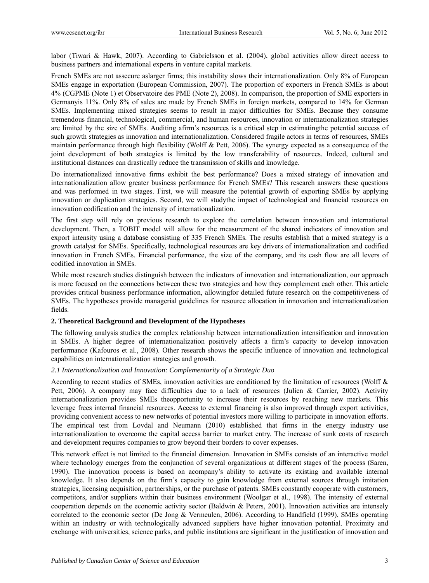labor (Tiwari & Hawk, 2007). According to Gabrielsson et al. (2004), global activities allow direct access to business partners and international experts in venture capital markets.

French SMEs are not assecure aslarger firms; this instability slows their internationalization. Only 8% of European SMEs engage in exportation (European Commission, 2007). The proportion of exporters in French SMEs is about 4% (CGPME (Note 1) et Observatoire des PME (Note 2), 2008). In comparison, the proportion of SME exporters in Germanyis 11%. Only 8% of sales are made by French SMEs in foreign markets, compared to 14% for German SMEs. Implementing mixed strategies seems to result in major difficulties for SMEs. Because they consume tremendous financial, technological, commercial, and human resources, innovation or internationalization strategies are limited by the size of SMEs. Auditing afirm's resources is a critical step in estimatingthe potential success of such growth strategies as innovation and internationalization. Considered fragile actors in terms of resources, SMEs maintain performance through high flexibility (Wolff & Pett, 2006). The synergy expected as a consequence of the joint development of both strategies is limited by the low transferability of resources. Indeed, cultural and institutional distances can drastically reduce the transmission of skills and knowledge.

Do internationalized innovative firms exhibit the best performance? Does a mixed strategy of innovation and internationalization allow greater business performance for French SMEs? This research answers these questions and was performed in two stages. First, we will measure the potential growth of exporting SMEs by applying innovation or duplication strategies. Second, we will studythe impact of technological and financial resources on innovation codification and the intensity of internationalization.

The first step will rely on previous research to explore the correlation between innovation and international development. Then, a TOBIT model will allow for the measurement of the shared indicators of innovation and export intensity using a database consisting of 335 French SMEs. The results establish that a mixed strategy is a growth catalyst for SMEs. Specifically, technological resources are key drivers of internationalization and codified innovation in French SMEs. Financial performance, the size of the company, and its cash flow are all levers of codified innovation in SMEs.

While most research studies distinguish between the indicators of innovation and internationalization, our approach is more focused on the connections between these two strategies and how they complement each other. This article provides critical business performance information, allowingfor detailed future research on the competitiveness of SMEs. The hypotheses provide managerial guidelines for resource allocation in innovation and internationalization fields.

#### **2. Theoretical Background and Development of the Hypotheses**

The following analysis studies the complex relationship between internationalization intensification and innovation in SMEs. A higher degree of internationalization positively affects a firm's capacity to develop innovation performance (Kafouros et al., 2008). Other research shows the specific influence of innovation and technological capabilities on internationalization strategies and growth.

## *2.1 Internationalization and Innovation: Complementarity of a Strategic Duo*

According to recent studies of SMEs, innovation activities are conditioned by the limitation of resources (Wolff & Pett, 2006). A company may face difficulties due to a lack of resources (Julien & Carrier, 2002). Activity internationalization provides SMEs theopportunity to increase their resources by reaching new markets. This leverage frees internal financial resources. Access to external financing is also improved through export activities, providing convenient access to new networks of potential investors more willing to participate in innovation efforts. The empirical test from Lovdal and Neumann (2010) established that firms in the energy industry use internationalization to overcome the capital access barrier to market entry. The increase of sunk costs of research and development requires companies to grow beyond their borders to cover expenses.

This network effect is not limited to the financial dimension. Innovation in SMEs consists of an interactive model where technology emerges from the conjunction of several organizations at different stages of the process (Saren, 1990). The innovation process is based on acompany's ability to activate its existing and available internal knowledge. It also depends on the firm's capacity to gain knowledge from external sources through imitation strategies, licensing acquisition, partnerships, or the purchase of patents. SMEs constantly cooperate with customers, competitors, and/or suppliers within their business environment (Woolgar et al., 1998). The intensity of external cooperation depends on the economic activity sector (Baldwin & Peters, 2001). Innovation activities are intensely correlated to the economic sector (De Jong & Vermeulen, 2006). According to Handfield (1999), SMEs operating within an industry or with technologically advanced suppliers have higher innovation potential. Proximity and exchange with universities, science parks, and public institutions are significant in the justification of innovation and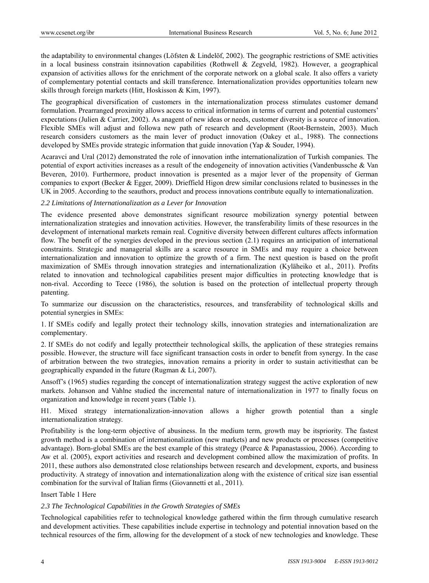the adaptability to environmental changes (Löfsten & Lindelöf, 2002). The geographic restrictions of SME activities in a local business constrain itsinnovation capabilities (Rothwell & Zegveld, 1982). However, a geographical expansion of activities allows for the enrichment of the corporate network on a global scale. It also offers a variety of complementary potential contacts and skill transference. Internationalization provides opportunities tolearn new skills through foreign markets (Hitt, Hoskisson & Kim, 1997).

The geographical diversification of customers in the internationalization process stimulates customer demand formulation. Prearranged proximity allows access to critical information in terms of current and potential customers' expectations (Julien & Carrier, 2002). As anagent of new ideas or needs, customer diversity is a source of innovation. Flexible SMEs will adjust and followa new path of research and development (Root-Bernstein, 2003). Much research considers customers as the main lever of product innovation (Oakey et al., 1988). The connections developed by SMEs provide strategic information that guide innovation (Yap & Souder, 1994).

Acaravci and Ural (2012) demonstrated the role of innovation inthe internationalization of Turkish companies. The potential of export activities increases as a result of the endogeneity of innovation activities (Vandenbussche & Van Beveren, 2010). Furthermore, product innovation is presented as a major lever of the propensity of German companies to export (Becker & Egger, 2009). Drieffield Higon drew similar conclusions related to businesses in the UK in 2005. According to the seauthors, product and process innovations contribute equally to internationalization.

#### *2.2 Limitations of Internationalization as a Lever for Innovation*

The evidence presented above demonstrates significant resource mobilization synergy potential between internationalization strategies and innovation activities. However, the transferability limits of these resources in the development of international markets remain real. Cognitive diversity between different cultures affects information flow. The benefit of the synergies developed in the previous section (2.1) requires an anticipation of international constraints. Strategic and managerial skills are a scarce resource in SMEs and may require a choice between internationalization and innovation to optimize the growth of a firm. The next question is based on the profit maximization of SMEs through innovation strategies and internationalization (Kyläheiko et al., 2011). Profits related to innovation and technological capabilities present major difficulties in protecting knowledge that is non-rival. According to Teece (1986), the solution is based on the protection of intellectual property through patenting.

To summarize our discussion on the characteristics, resources, and transferability of technological skills and potential synergies in SMEs:

1. If SMEs codify and legally protect their technology skills, innovation strategies and internationalization are complementary.

2. If SMEs do not codify and legally protecttheir technological skills, the application of these strategies remains possible. However, the structure will face significant transaction costs in order to benefit from synergy. In the case of arbitration between the two strategies, innovation remains a priority in order to sustain activitiesthat can be geographically expanded in the future (Rugman & Li, 2007).

Ansoff's (1965) studies regarding the concept of internationalization strategy suggest the active exploration of new markets. Johanson and Vahlne studied the incremental nature of internationalization in 1977 to finally focus on organization and knowledge in recent years (Table 1).

H1. Mixed strategy internationalization-innovation allows a higher growth potential than a single internationalization strategy.

Profitability is the long-term objective of abusiness. In the medium term, growth may be itspriority. The fastest growth method is a combination of internationalization (new markets) and new products or processes (competitive advantage). Born-global SMEs are the best example of this strategy (Pearce & Papanastassiou, 2006). According to Aw et al. (2005), export activities and research and development combined allow the maximization of profits. In 2011, these authors also demonstrated close relationships between research and development, exports, and business productivity. A strategy of innovation and internationalization along with the existence of critical size isan essential combination for the survival of Italian firms (Giovannetti et al., 2011).

#### Insert Table 1 Here

#### *2.3 The Technological Capabilities in the Growth Strategies of SMEs*

Technological capabilities refer to technological knowledge gathered within the firm through cumulative research and development activities. These capabilities include expertise in technology and potential innovation based on the technical resources of the firm, allowing for the development of a stock of new technologies and knowledge. These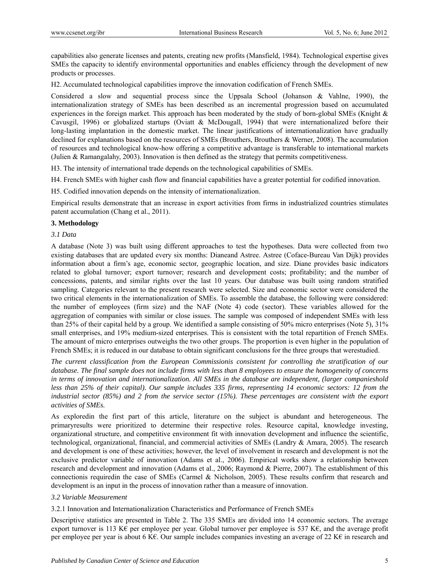capabilities also generate licenses and patents, creating new profits (Mansfield, 1984). Technological expertise gives SMEs the capacity to identify environmental opportunities and enables efficiency through the development of new products or processes.

H2. Accumulated technological capabilities improve the innovation codification of French SMEs.

Considered a slow and sequential process since the Uppsala School (Johanson & Vahlne, 1990), the internationalization strategy of SMEs has been described as an incremental progression based on accumulated experiences in the foreign market. This approach has been moderated by the study of born-global SMEs (Knight & Cavusgil, 1996) or globalized startups (Oviatt & McDougall, 1994) that were internationalized before their long-lasting implantation in the domestic market. The linear justifications of internationalization have gradually declined for explanations based on the resources of SMEs (Brouthers, Brouthers & Werner, 2008). The accumulation of resources and technological know-how offering a competitive advantage is transferable to international markets (Julien & Ramangalahy, 2003). Innovation is then defined as the strategy that permits competitiveness.

H3. The intensity of international trade depends on the technological capabilities of SMEs.

H4. French SMEs with higher cash flow and financial capabilities have a greater potential for codified innovation.

H5. Codified innovation depends on the intensity of internationalization.

Empirical results demonstrate that an increase in export activities from firms in industrialized countries stimulates patent accumulation (Chang et al., 2011).

#### **3. Methodology**

#### *3.1 Data*

A database (Note 3) was built using different approaches to test the hypotheses. Data were collected from two existing databases that are updated every six months: Dianeand Astree. Astree (Coface-Bureau Van Dijk) provides information about a firm's age, economic sector, geographic location, and size. Diane provides basic indicators related to global turnover; export turnover; research and development costs; profitability; and the number of concessions, patents, and similar rights over the last 10 years. Our database was built using random stratified sampling. Categories relevant to the present research were selected. Size and economic sector were considered the two critical elements in the internationalization of SMEs. To assemble the database, the following were considered: the number of employees (firm size) and the NAF (Note 4) code (sector). These variables allowed for the aggregation of companies with similar or close issues. The sample was composed of independent SMEs with less than 25% of their capital held by a group. We identified a sample consisting of 50% micro enterprises (Note 5), 31% small enterprises, and 19% medium-sized enterprises. This is consistent with the total repartition of French SMEs. The amount of micro enterprises outweighs the two other groups. The proportion is even higher in the population of French SMEs; it is reduced in our database to obtain significant conclusions for the three groups that werestudied.

*The current classification from the European Commissionis consistent for controlling the stratification of our database. The final sample does not include firms with less than 8 employees to ensure the homogeneity of concerns in terms of innovation and internationalization. All SMEs in the database are independent, (larger companieshold less than 25% of their capital). Our sample includes 335 firms, representing 14 economic sectors: 12 from the* industrial sector (85%) and 2 from the service sector (15%). These percentages are consistent with the export *activities of SMEs.* 

As exploredin the first part of this article, literature on the subject is abundant and heterogeneous. The primaryresults were prioritized to determine their respective roles. Resource capital, knowledge investing, organizational structure, and competitive environment fit with innovation development and influence the scientific, technological, organizational, financial, and commercial activities of SMEs (Landry & Amara, 2005). The research and development is one of these activities; however, the level of involvement in research and development is not the exclusive predictor variable of innovation (Adams et al., 2006). Empirical works show a relationship between research and development and innovation (Adams et al., 2006; Raymond & Pierre, 2007). The establishment of this connectionis requiredin the case of SMEs (Carmel & Nicholson, 2005). These results confirm that research and development is an input in the process of innovation rather than a measure of innovation.

#### *3.2 Variable Measurement*

3.2.1 Innovation and Internationalization Characteristics and Performance of French SMEs

Descriptive statistics are presented in Table 2. The 335 SMEs are divided into 14 economic sectors. The average export turnover is 113 K $\epsilon$  per employee per year. Global turnover per employee is 537 K $\epsilon$ , and the average profit per employee per year is about 6 K€. Our sample includes companies investing an average of 22 K€ in research and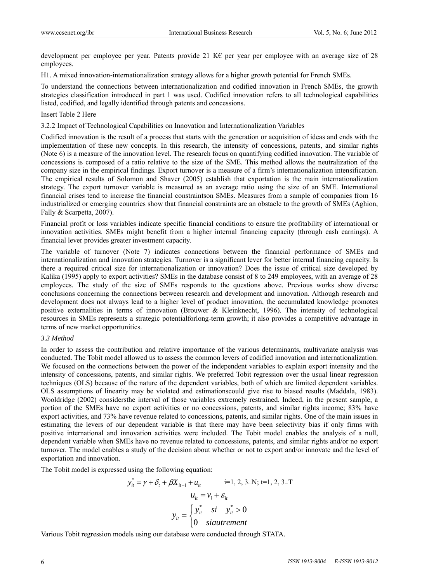development per employee per year. Patents provide 21 K€ per year per employee with an average size of 28 employees.

H1. A mixed innovation-internationalization strategy allows for a higher growth potential for French SMEs.

To understand the connections between internationalization and codified innovation in French SMEs, the growth strategies classification introduced in part 1 was used. Codified innovation refers to all technological capabilities listed, codified, and legally identified through patents and concessions.

#### Insert Table 2 Here

3.2.2 Impact of Technological Capabilities on Innovation and Internationalization Variables

Codified innovation is the result of a process that starts with the generation or acquisition of ideas and ends with the implementation of these new concepts. In this research, the intensity of concessions, patents, and similar rights (Note 6) is a measure of the innovation level. The research focus on quantifying codified innovation. The variable of concessions is composed of a ratio relative to the size of the SME. This method allows the neutralization of the company size in the empirical findings. Export turnover is a measure of a firm's internationalization intensification. The empirical results of Solomon and Shaver (2005) establish that exportation is the main internationalization strategy. The export turnover variable is measured as an average ratio using the size of an SME. International financial crises tend to increase the financial constraintson SMEs. Measures from a sample of companies from 16 industrialized or emerging countries show that financial constraints are an obstacle to the growth of SMEs (Aghion, Fally & Scarpetta, 2007).

Financial profit or loss variables indicate specific financial conditions to ensure the profitability of international or innovation activities. SMEs might benefit from a higher internal financing capacity (through cash earnings). A financial lever provides greater investment capacity.

The variable of turnover (Note 7) indicates connections between the financial performance of SMEs and internationalization and innovation strategies. Turnover is a significant lever for better internal financing capacity. Is there a required critical size for internationalization or innovation? Does the issue of critical size developed by Kalika (1995) apply to export activities? SMEs in the database consist of 8 to 249 employees, with an average of 28 employees. The study of the size of SMEs responds to the questions above. Previous works show diverse conclusions concerning the connections between research and development and innovation. Although research and development does not always lead to a higher level of product innovation, the accumulated knowledge promotes positive externalities in terms of innovation (Brouwer & Kleinknecht, 1996). The intensity of technological resources in SMEs represents a strategic potentialforlong-term growth; it also provides a competitive advantage in terms of new market opportunities.

#### *3.3 Method*

In order to assess the contribution and relative importance of the various determinants, multivariate analysis was conducted. The Tobit model allowed us to assess the common levers of codified innovation and internationalization. We focused on the connections between the power of the independent variables to explain export intensity and the intensity of concessions, patents, and similar rights. We preferred Tobit regression over the usual linear regression techniques (OLS) because of the nature of the dependent variables, both of which are limited dependent variables. OLS assumptions of linearity may be violated and estimationscould give rise to biased results (Maddala, 1983). Wooldridge (2002) considersthe interval of those variables extremely restrained. Indeed, in the present sample, a portion of the SMEs have no export activities or no concessions, patents, and similar rights income; 83% have export activities, and 73% have revenue related to concessions, patents, and similar rights. One of the main issues in estimating the levers of our dependent variable is that there may have been selectivity bias if only firms with positive international and innovation activities were included. The Tobit model enables the analysis of a null, dependent variable when SMEs have no revenue related to concessions, patents, and similar rights and/or no export turnover. The model enables a study of the decision about whether or not to export and/or innovate and the level of exportation and innovation.

The Tobit model is expressed using the following equation:

$$
y_{it}^{*} = \gamma + \delta_{t} + \beta X_{it-1} + u_{it} \qquad \text{i=1, 2, 3...N; t=1, 2, 3...T}
$$

$$
u_{it} = v_{i} + \varepsilon_{it}
$$

$$
y_{it} = \begin{cases} y_{it}^{*} & \text{si } \quad y_{it}^{*} > 0\\ 0 & \text{siautrement} \end{cases}
$$

Various Tobit regression models using our database were conducted through STATA.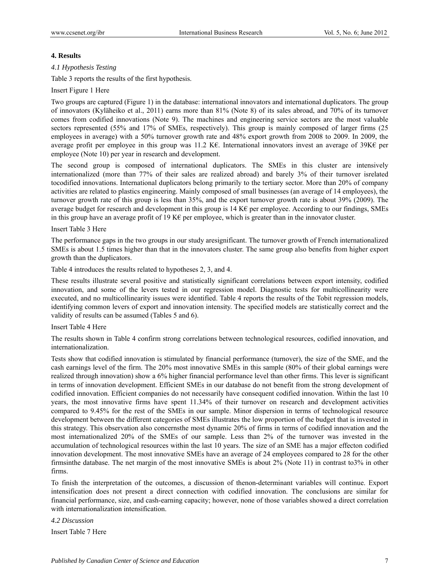#### **4. Results**

#### *4.1 Hypothesis Testing*

Table 3 reports the results of the first hypothesis.

#### Insert Figure 1 Here

Two groups are captured (Figure 1) in the database: international innovators and international duplicators. The group of innovators (Kyläheiko et al., 2011) earns more than 81% (Note 8) of its sales abroad, and 70% of its turnover comes from codified innovations (Note 9). The machines and engineering service sectors are the most valuable sectors represented (55% and 17% of SMEs, respectively). This group is mainly composed of larger firms (25 employees in average) with a 50% turnover growth rate and 48% export growth from 2008 to 2009. In 2009, the average profit per employee in this group was 11.2 K€. International innovators invest an average of 39K€ per employee (Note 10) per year in research and development.

The second group is composed of international duplicators. The SMEs in this cluster are intensively internationalized (more than 77% of their sales are realized abroad) and barely 3% of their turnover isrelated tocodified innovations. International duplicators belong primarily to the tertiary sector. More than 20% of company activities are related to plastics engineering. Mainly composed of small businesses (an average of 14 employees), the turnover growth rate of this group is less than 35%, and the export turnover growth rate is about 39% (2009). The average budget for research and development in this group is 14 K€ per employee. According to our findings, SMEs in this group have an average profit of 19 K€ per employee, which is greater than in the innovator cluster.

#### Insert Table 3 Here

The performance gaps in the two groups in our study aresignificant. The turnover growth of French internationalized SMEs is about 1.5 times higher than that in the innovators cluster. The same group also benefits from higher export growth than the duplicators.

Table 4 introduces the results related to hypotheses 2, 3, and 4.

These results illustrate several positive and statistically significant correlations between export intensity, codified innovation, and some of the levers tested in our regression model. Diagnostic tests for multicollinearity were executed, and no multicollinearity issues were identified. Table 4 reports the results of the Tobit regression models, identifying common levers of export and innovation intensity. The specified models are statistically correct and the validity of results can be assumed (Tables 5 and 6).

#### Insert Table 4 Here

The results shown in Table 4 confirm strong correlations between technological resources, codified innovation, and internationalization.

Tests show that codified innovation is stimulated by financial performance (turnover), the size of the SME, and the cash earnings level of the firm. The 20% most innovative SMEs in this sample (80% of their global earnings were realized through innovation) show a 6% higher financial performance level than other firms. This lever is significant in terms of innovation development. Efficient SMEs in our database do not benefit from the strong development of codified innovation. Efficient companies do not necessarily have consequent codified innovation. Within the last 10 years, the most innovative firms have spent 11.34% of their turnover on research and development activities compared to 9.45% for the rest of the SMEs in our sample. Minor dispersion in terms of technological resource development between the different categories of SMEs illustrates the low proportion of the budget that is invested in this strategy. This observation also concernsthe most dynamic 20% of firms in terms of codified innovation and the most internationalized 20% of the SMEs of our sample. Less than 2% of the turnover was invested in the accumulation of technological resources within the last 10 years. The size of an SME has a major effecton codified innovation development. The most innovative SMEs have an average of 24 employees compared to 28 for the other firmsinthe database. The net margin of the most innovative SMEs is about 2% (Note 11) in contrast to3% in other firms.

To finish the interpretation of the outcomes, a discussion of thenon-determinant variables will continue. Export intensification does not present a direct connection with codified innovation. The conclusions are similar for financial performance, size, and cash-earning capacity; however, none of those variables showed a direct correlation with internationalization intensification.

#### *4.2 Discussion*

Insert Table 7 Here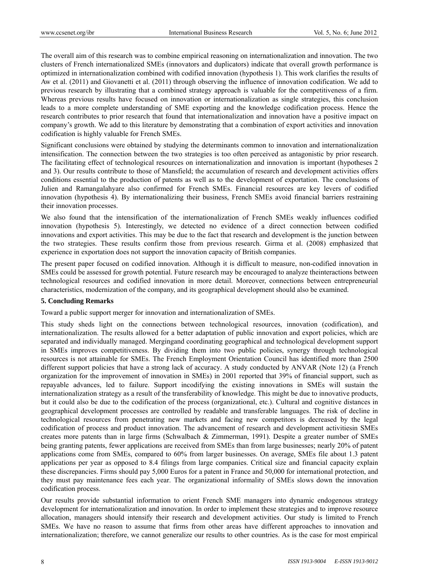The overall aim of this research was to combine empirical reasoning on internationalization and innovation. The two clusters of French internationalized SMEs (innovators and duplicators) indicate that overall growth performance is optimized in internationalization combined with codified innovation (hypothesis 1). This work clarifies the results of Aw et al. (2011) and Giovanetti et al. (2011) through observing the influence of innovation codification. We add to previous research by illustrating that a combined strategy approach is valuable for the competitiveness of a firm. Whereas previous results have focused on innovation or internationalization as single strategies, this conclusion leads to a more complete understanding of SME exporting and the knowledge codification process. Hence the research contributes to prior research that found that internationalization and innovation have a positive impact on company's growth. We add to this literature by demonstrating that a combination of export activities and innovation codification is highly valuable for French SMEs.

Significant conclusions were obtained by studying the determinants common to innovation and internationalization intensification. The connection between the two strategies is too often perceived as antagonistic by prior research. The facilitating effect of technological resources on internationalization and innovation is important (hypotheses 2 and 3). Our results contribute to those of Mansfield; the accumulation of research and development activities offers conditions essential to the production of patents as well as to the development of exportation. The conclusions of Julien and Ramangalahyare also confirmed for French SMEs. Financial resources are key levers of codified innovation (hypothesis 4). By internationalizing their business, French SMEs avoid financial barriers restraining their innovation processes.

We also found that the intensification of the internationalization of French SMEs weakly influences codified innovation (hypothesis 5). Interestingly, we detected no evidence of a direct connection between codified innovations and export activities. This may be due to the fact that research and development is the junction between the two strategies. These results confirm those from previous research. Girma et al. (2008) emphasized that experience in exportation does not support the innovation capacity of British companies.

The present paper focused on codified innovation. Although it is difficult to measure, non-codified innovation in SMEs could be assessed for growth potential. Future research may be encouraged to analyze theinteractions between technological resources and codified innovation in more detail. Moreover, connections between entrepreneurial characteristics, modernization of the company, and its geographical development should also be examined.

#### **5. Concluding Remarks**

Toward a public support merger for innovation and internationalization of SMEs.

This study sheds light on the connections between technological resources, innovation (codification), and internationalization. The results allowed for a better adaptation of public innovation and export policies, which are separated and individually managed. Mergingand coordinating geographical and technological development support in SMEs improves competitiveness. By dividing them into two public policies, synergy through technological resources is not attainable for SMEs. The French Employment Orientation Council has identified more than 2500 different support policies that have a strong lack of accuracy. A study conducted by ANVAR (Note 12) (a French organization for the improvement of innovation in SMEs) in 2001 reported that 39% of financial support, such as repayable advances, led to failure. Support incodifying the existing innovations in SMEs will sustain the internationalization strategy as a result of the transferability of knowledge. This might be due to innovative products, but it could also be due to the codification of the process (organizational, etc.). Cultural and cognitive distances in geographical development processes are controlled by readable and transferable languages. The risk of decline in technological resources from penetrating new markets and facing new competitors is decreased by the legal codification of process and product innovation. The advancement of research and development activitiesin SMEs creates more patents than in large firms (Schwalbach & Zimmerman, 1991). Despite a greater number of SMEs being granting patents, fewer applications are received from SMEs than from large businesses; nearly 20% of patent applications come from SMEs, compared to 60% from larger businesses. On average, SMEs file about 1.3 patent applications per year as opposed to 8.4 filings from large companies. Critical size and financial capacity explain these discrepancies. Firms should pay 5,000 Euros for a patent in France and 50,000 for international protection, and they must pay maintenance fees each year. The organizational informality of SMEs slows down the innovation codification process.

Our results provide substantial information to orient French SME managers into dynamic endogenous strategy development for internationalization and innovation. In order to implement these strategies and to improve resource allocation, managers should intensify their research and development activities. Our study is limited to French SMEs. We have no reason to assume that firms from other areas have different approaches to innovation and internationalization; therefore, we cannot generalize our results to other countries. As is the case for most empirical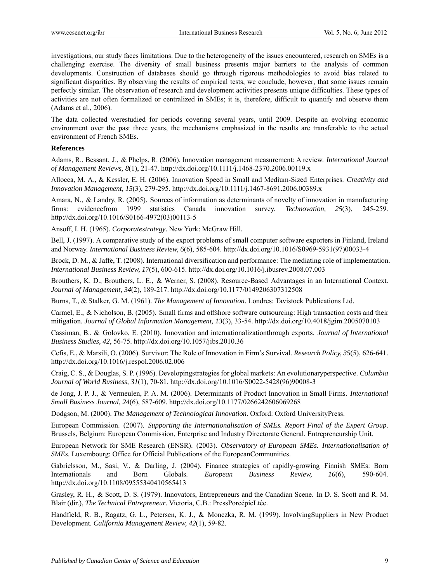investigations, our study faces limitations. Due to the heterogeneity of the issues encountered, research on SMEs is a challenging exercise. The diversity of small business presents major barriers to the analysis of common developments. Construction of databases should go through rigorous methodologies to avoid bias related to significant disparities. By observing the results of empirical tests, we conclude, however, that some issues remain perfectly similar. The observation of research and development activities presents unique difficulties. These types of activities are not often formalized or centralized in SMEs; it is, therefore, difficult to quantify and observe them (Adams et al., 2006).

The data collected werestudied for periods covering several years, until 2009. Despite an evolving economic environment over the past three years, the mechanisms emphasized in the results are transferable to the actual environment of French SMEs.

## **References**

Adams, R., Bessant, J., & Phelps, R. (2006). Innovation management measurement: A review. *International Journal of Management Reviews, 8*(1), 21-47. http://dx.doi.org/10.1111/j.1468-2370.2006.00119.x

Allocca, M. A., & Kessler, E. H. (2006). Innovation Speed in Small and Medium-Sized Enterprises. *Creativity and Innovation Management, 15*(3), 279-295. http://dx.doi.org/10.1111/j.1467-8691.2006.00389.x

Amara, N., & Landry, R. (2005). Sources of information as determinants of novelty of innovation in manufacturing firms: evidencefrom 1999 statistics Canada innovation survey. *Technovation, 25*(3), 245-259. http://dx.doi.org/10.1016/S0166-4972(03)00113-5

Ansoff, I. H. (1965). *Corporatestrategy*. New York: McGraw Hill.

Bell, J. (1997). A comparative study of the export problems of small computer software exporters in Finland, Ireland and Norway. *International Business Review, 6*(6), 585-604. http://dx.doi.org/10.1016/S0969-5931(97)00033-4

Brock, D. M., & Jaffe, T. (2008). International diversification and performance: The mediating role of implementation. *International Business Review, 17*(5), 600-615. http://dx.doi.org/10.1016/j.ibusrev.2008.07.003

Brouthers, K. D., Brouthers, L. E., & Werner, S. (2008). Resource-Based Advantages in an International Context. *Journal of Management, 34*(2), 189-217. http://dx.doi.org/10.1177/0149206307312508

Burns, T., & Stalker, G. M. (1961). *The Management of Innovation*. Londres: Tavistock Publications Ltd.

Carmel, E., & Nicholson, B. (2005). Small firms and offshore software outsourcing: High transaction costs and their mitigation. *Journal of Global Information Management, 13*(3), 33-54. http://dx.doi.org/10.4018/jgim.2005070103

Cassiman, B., & Golovko, E. (2010). Innovation and internationalizationthrough exports. *Journal of International Business Studies, 42*, 56-75. http://dx.doi.org/10.1057/jibs.2010.36

Cefis, E., & Marsili, O. (2006). Survivor: The Role of Innovation in Firm's Survival. *Research Policy, 35*(5), 626-641. http://dx.doi.org/10.1016/j.respol.2006.02.006

Craig, C. S., & Douglas, S. P. (1996). Developingstrategies for global markets: An evolutionaryperspective. *Columbia Journal of World Business, 31*(1), 70-81. http://dx.doi.org/10.1016/S0022-5428(96)90008-3

de Jong, J. P. J., & Vermeulen, P. A. M. (2006). Determinants of Product Innovation in Small Firms. *International Small Business Journal, 24*(6), 587-609. http://dx.doi.org/10.1177/0266242606069268

Dodgson, M. (2000). *The Management of Technological Innovation*. Oxford: Oxford UniversityPress.

European Commission. (2007). *Supporting the Internationalisation of SMEs. Report Final of the Expert Group*. Brussels, Belgium: European Commission, Enterprise and Industry Directorate General, Entrepreneurship Unit.

European Network for SME Research (ENSR). (2003). *Observatory of European SMEs. Internationalisation of*  **SMEs**. Luxembourg: Office for Official Publications of the EuropeanCommunities.

Gabrielsson, M., Sasi, V., & Darling, J. (2004). Finance strategies of rapidly-growing Finnish SMEs: Born Internationals and Born Globals. *European Business Review, 16*(6), 590-604. http://dx.doi.org/10.1108/09555340410565413

Grasley, R. H., & Scott, D. S. (1979). Innovators, Entrepreneurs and the Canadian Scene. In D. S. Scott and R. M. Blair (dir.), *The Technical Entrepreneur*. Victoria, C.B.: PressPorcépicLtée.

Handfield, R. B., Ragatz, G. L., Petersen, K. J., & Monczka, R. M. (1999). InvolvingSuppliers in New Product Development. *California Management Review, 42*(1), 59-82.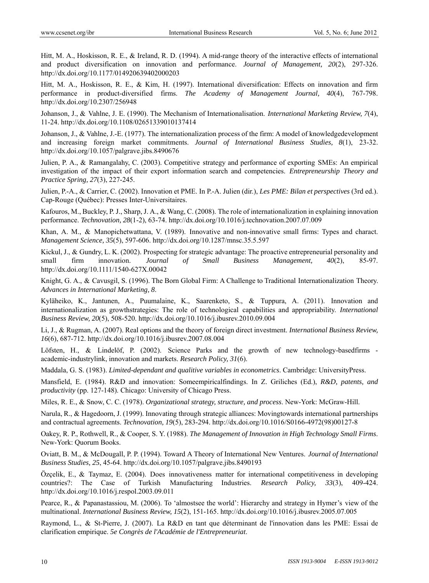Hitt, M. A., Hoskisson, R. E., & Ireland, R. D. (1994). A mid-range theory of the interactive effects of international and product diversification on innovation and performance. *Journal of Management, 20*(2), 297-326. http://dx.doi.org/10.1177/014920639402000203

Hitt, M. A., Hoskisson, R. E., & Kim, H. (1997). International diversification: Effects on innovation and firm performance in product-diversified firms. *The Academy of Management Journal, 40*(4), 767-798. http://dx.doi.org/10.2307/256948

Johanson, J., & Vahlne, J. E. (1990). The Mechanism of Internationalisation. *International Marketing Review, 7*(4), 11-24. http://dx.doi.org/10.1108/02651339010137414

Johanson, J., & Vahlne, J.-E. (1977). The internationalization process of the firm: A model of knowledgedevelopment and increasing foreign market commitments. *Journal of International Business Studies, 8*(1), 23-32. http://dx.doi.org/10.1057/palgrave.jibs.8490676

Julien, P. A., & Ramangalahy, C. (2003). Competitive strategy and performance of exporting SMEs: An empirical investigation of the impact of their export information search and competencies. *Entrepreneurship Theory and Practice Spring, 27*(3), 227-245.

Julien, P.-A., & Carrier, C. (2002). Innovation et PME. In P.-A. Julien (dir.), *Les PME: Bilan et perspectives* (3rd ed.). Cap-Rouge (Québec): Presses Inter-Universitaires.

Kafouros, M., Buckley, P. J., Sharp, J. A., & Wang, C. (2008). The role of internationalization in explaining innovation performance. *Technovation, 28*(1-2), 63-74. http://dx.doi.org/10.1016/j.technovation.2007.07.009

Khan, A. M., & Manopichetwattana, V. (1989). Innovative and non-innovative small firms: Types and charact. *Management Science, 35*(5), 597-606. http://dx.doi.org/10.1287/mnsc.35.5.597

Kickul, J., & Gundry, L. K. (2002). Prospecting for strategic advantage: The proactive entrepreneurial personality and small firm innovation. *Journal of Small Business Management, 40*(2), 85-97. http://dx.doi.org/10.1111/1540-627X.00042

Knight, G. A., & Cavusgil, S. (1996). The Born Global Firm: A Challenge to Traditional Internationalization Theory. *Advances in International Marketing, 8*.

Kyläheiko, K., Jantunen, A., Puumalaine, K., Saarenketo, S., & Tuppura, A. (2011). Innovation and internationalization as growthstrategies: The role of technological capabilities and appropriability. *International Business Review, 20*(5), 508-520. http://dx.doi.org/10.1016/j.ibusrev.2010.09.004

Li, J., & Rugman, A. (2007). Real options and the theory of foreign direct investment. *International Business Review, 16*(6), 687-712. http://dx.doi.org/10.1016/j.ibusrev.2007.08.004

Löfsten, H., & Lindelöf, P. (2002). Science Parks and the growth of new technology-basedfirms academic-industrylink, innovation and markets. *Research Policy, 31*(6).

Maddala, G. S. (1983). *Limited-dependant and qualitive variables in econometrics*. Cambridge: UniversityPress.

Mansfield, E. (1984). R&D and innovation: Someempiricalfindings. In Z. Griliches (Ed.), *R&D, patents, and productivity* (pp. 127-148). Chicago: University of Chicago Press.

Miles, R. E., & Snow, C. C. (1978). *Organizational strategy, structure, and process*. New-York: McGraw-Hill.

Narula, R., & Hagedoorn, J. (1999). Innovating through strategic alliances: Movingtowards international partnerships and contractual agreements. *Technovation, 19*(5), 283-294. http://dx.doi.org/10.1016/S0166-4972(98)00127-8

Oakey, R. P., Rothwell, R., & Cooper, S. Y. (1988). *The Management of Innovation in High Technology Small Firms*. New-York: Quorum Books.

Oviatt, B. M., & McDougall, P. P. (1994). Toward A Theory of International New Ventures. *Journal of International Business Studies, 25*, 45-64. http://dx.doi.org/10.1057/palgrave.jibs.8490193

Özçelik, E., & Taymaz, E. (2004). Does innovativeness matter for international competitiveness in developing countries?: The Case of Turkish Manufacturing Industries. *Research Policy, 33*(3), 409-424. http://dx.doi.org/10.1016/j.respol.2003.09.011

Pearce, R., & Papanastassiou, M. (2006). To 'almostsee the world': Hierarchy and strategy in Hymer's view of the multinational. *International Business Review, 15*(2), 151-165. http://dx.doi.org/10.1016/j.ibusrev.2005.07.005

Raymond, L., & St-Pierre, J. (2007). La R&D en tant que déterminant de l'innovation dans les PME: Essai de clarification empirique. *5e Congrès de l'Académie de l'Entrepreneuriat*.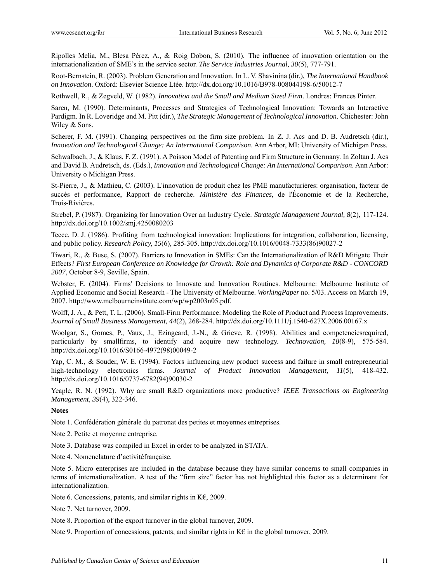Ripolles Melia, M., Blesa Pérez, A., & Roig Dobon, S. (2010). The influence of innovation orientation on the internationalization of SME's in the service sector. *The Service Industries Journal, 30*(5), 777-791.

Root-Bernstein, R. (2003). Problem Generation and Innovation. In L. V. Shavinina (dir.), *The International Handbook on Innovation*. Oxford: Elsevier Science Ltée. http://dx.doi.org/10.1016/B978-008044198-6/50012-7

Rothwell, R., & Zegveld, W. (1982). *Innovation and the Small and Medium Sized Firm*. Londres: Frances Pinter.

Saren, M. (1990). Determinants, Processes and Strategies of Technological Innovation: Towards an Interactive Pardigm. In R. Loveridge and M. Pitt (dir.), *The Strategic Management of Technological Innovation*. Chichester: John Wiley & Sons.

Scherer, F. M. (1991). Changing perspectives on the firm size problem. In Z. J. Acs and D. B. Audretsch (dir.), *Innovation and Technological Change: An International Comparison*. Ann Arbor, MI: University of Michigan Press.

Schwalbach, J., & Klaus, F. Z. (1991). A Poisson Model of Patenting and Firm Structure in Germany. In Zoltan J. Acs and David B. Audretsch, ds. (Eds.), *Innovation and Technological Change: An International Comparison*. Ann Arbor: University o Michigan Press.

St-Pierre, J., & Mathieu, C. (2003). L'innovation de produit chez les PME manufacturières: organisation, facteur de succès et performance, Rapport de recherche. *Ministère des Finances*, de l'Économie et de la Recherche, Trois-Rivières.

Strebel, P. (1987). Organizing for Innovation Over an Industry Cycle. *Strategic Management Journal, 8*(2), 117-124. http://dx.doi.org/10.1002/smj.4250080203

Teece, D. J. (1986). Profiting from technological innovation: Implications for integration, collaboration, licensing, and public policy. *Research Policy, 15*(6), 285-305. http://dx.doi.org/10.1016/0048-7333(86)90027-2

Tiwari, R., & Buse, S. (2007). Barriers to Innovation in SMEs: Can the Internationalization of R&D Mitigate Their Effects? *First European Conference on Knowledge for Growth: Role and Dynamics of Corporate R&D - CONCORD 2007*, October 8-9, Seville, Spain.

Webster, E. (2004). Firms' Decisions to Innovate and Innovation Routines. Melbourne: Melbourne Institute of Applied Economic and Social Research - The University of Melbourne. *WorkingPaper* no. 5/03. Access on March 19, 2007. http://www.melbourneinstitute.com/wp/wp2003n05.pdf.

Wolff, J. A., & Pett, T. L. (2006). Small-Firm Performance: Modeling the Role of Product and Process Improvements. *Journal of Small Business Management, 44*(2), 268-284. http://dx.doi.org/10.1111/j.1540-627X.2006.00167.x

Woolgar, S., Gomes, P., Vaux, J., Ezingeard, J.-N., & Grieve, R. (1998). Abilities and competenciesrequired, particularly by smallfirms, to identify and acquire new technology. *Technovation, 18*(8-9), 575-584. http://dx.doi.org/10.1016/S0166-4972(98)00049-2

Yap, C. M., & Souder, W. E. (1994). Factors influencing new product success and failure in small entrepreneurial high-technology electronics firms. *Journal of Product Innovation Management, 11*(5), 418-432. http://dx.doi.org/10.1016/0737-6782(94)90030-2

Yeaple, R. N. (1992). Why are small R&D organizations more productive? *IEEE Transactions on Engineering Management, 39*(4), 322-346.

## **Notes**

Note 1. Confédération générale du patronat des petites et moyennes entreprises.

Note 2. Petite et moyenne entreprise.

Note 3. Database was compiled in Excel in order to be analyzed in STATA.

Note 4. Nomenclature d'activitéfrançaise.

Note 5. Micro enterprises are included in the database because they have similar concerns to small companies in terms of internationalization. A test of the "firm size" factor has not highlighted this factor as a determinant for internationalization.

Note 6. Concessions, patents, and similar rights in K€, 2009.

Note 7. Net turnover, 2009.

Note 8. Proportion of the export turnover in the global turnover, 2009.

Note 9. Proportion of concessions, patents, and similar rights in K $\epsilon$  in the global turnover, 2009.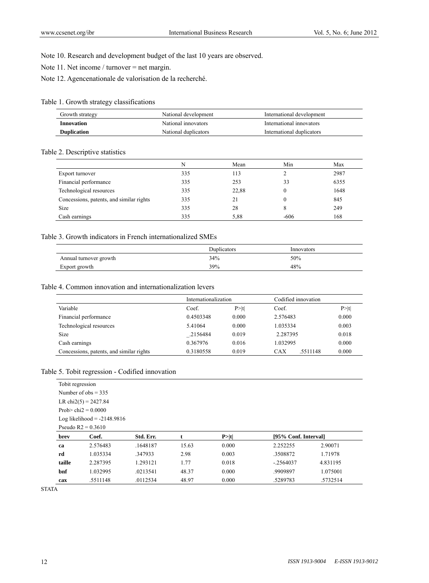Note 10. Research and development budget of the last 10 years are observed.

Note 11. Net income / turnover = net margin.

Note 12. Agencenationale de valorisation de la recherché.

## Table 1. Growth strategy classifications

| Growth strategy    | National development | International development |
|--------------------|----------------------|---------------------------|
| Innovation         | National innovators  | International innovators  |
| <b>Duplication</b> | National duplicators | International duplicators |

# Table 2. Descriptive statistics

|                                          | N   | Mean  | Min    | Max  |
|------------------------------------------|-----|-------|--------|------|
| Export turnover                          | 335 | 113   |        | 2987 |
| Financial performance                    | 335 | 253   | 33     | 6355 |
| Technological resources                  | 335 | 22,88 | 0      | 1648 |
| Concessions, patents, and similar rights | 335 | 21    |        | 845  |
| <b>Size</b>                              | 335 | 28    | 8      | 249  |
| Cash earnings                            | 335 | 5,88  | $-606$ | 168  |

# Table 3. Growth indicators in French internationalized SMEs

|                        | <b>Duplicators</b> | Innovators |
|------------------------|--------------------|------------|
| Annual turnover growth | 34%                | 50%        |
| Export growth          | 39%                | 48%        |

# Table 4. Common innovation and internationalization levers

|                                          | Internationalization |        | Codified innovation |        |
|------------------------------------------|----------------------|--------|---------------------|--------|
| Variable                                 | Coef.                | P >  t | Coef.               | P >  t |
| Financial performance                    | 0.4503348            | 0.000  | 2.576483            | 0.000  |
| Technological resources                  | 5.41064              | 0.000  | 1.035334            | 0.003  |
| <b>Size</b>                              | .2156484             | 0.019  | 2.287395            | 0.018  |
| Cash earnings                            | 0.367976             | 0.016  | 1.032995            | 0.000  |
| Concessions, patents, and similar rights | 0.3180558            | 0.019  | CAX<br>.5511148     | 0.000  |

# Table 5. Tobit regression - Codified innovation

| Tobit regression |                               |           |       |       |                      |          |  |
|------------------|-------------------------------|-----------|-------|-------|----------------------|----------|--|
|                  | Number of $obs = 335$         |           |       |       |                      |          |  |
|                  | LR chi $2(5) = 2427.84$       |           |       |       |                      |          |  |
|                  | Prob> chi $2 = 0.0000$        |           |       |       |                      |          |  |
|                  | Log likelihood $= -2148.9816$ |           |       |       |                      |          |  |
|                  | Pseudo $R2 = 0.3610$          |           |       |       |                      |          |  |
|                  |                               |           |       |       |                      |          |  |
| brev             | Coef.                         | Std. Err. | t     | P> t  | [95% Conf. Interval] |          |  |
| ca               | 2.576483                      | .1648187  | 15.63 | 0.000 | 2.252255             | 2.90071  |  |
| rd               | 1.035334                      | .347933   | 2.98  | 0.003 | .3508872             | 1.71978  |  |
| taille           | 2.287395                      | 1.293121  | 1.77  | 0.018 | $-.2564037$          | 4.831195 |  |
| bnf              | 1.032995                      | .0213541  | 48.37 | 0.000 | .9909897             | 1.075001 |  |

**STATA**